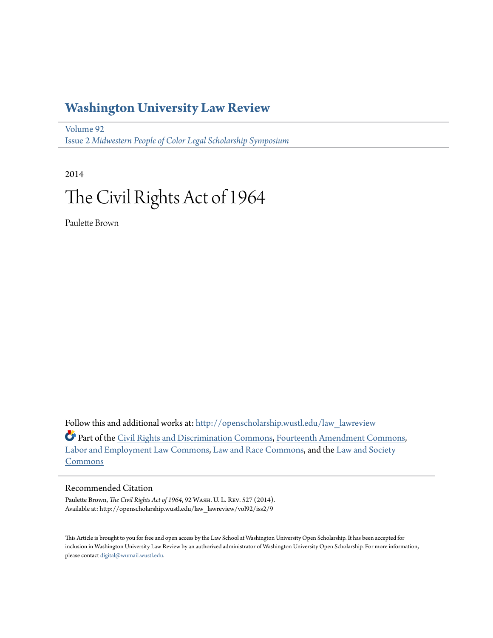# **[Washington University Law Review](http://openscholarship.wustl.edu/law_lawreview?utm_source=openscholarship.wustl.edu%2Flaw_lawreview%2Fvol92%2Fiss2%2F9&utm_medium=PDF&utm_campaign=PDFCoverPages)**

[Volume 92](http://openscholarship.wustl.edu/law_lawreview/vol92?utm_source=openscholarship.wustl.edu%2Flaw_lawreview%2Fvol92%2Fiss2%2F9&utm_medium=PDF&utm_campaign=PDFCoverPages) Issue 2 *[Midwestern People of Color Legal Scholarship Symposium](http://openscholarship.wustl.edu/law_lawreview/vol92/iss2?utm_source=openscholarship.wustl.edu%2Flaw_lawreview%2Fvol92%2Fiss2%2F9&utm_medium=PDF&utm_campaign=PDFCoverPages)*

# 2014 The Civil Rights Act of 1964

Paulette Brown

Follow this and additional works at: [http://openscholarship.wustl.edu/law\\_lawreview](http://openscholarship.wustl.edu/law_lawreview?utm_source=openscholarship.wustl.edu%2Flaw_lawreview%2Fvol92%2Fiss2%2F9&utm_medium=PDF&utm_campaign=PDFCoverPages)

Part of the [Civil Rights and Discrimination Commons,](http://network.bepress.com/hgg/discipline/585?utm_source=openscholarship.wustl.edu%2Flaw_lawreview%2Fvol92%2Fiss2%2F9&utm_medium=PDF&utm_campaign=PDFCoverPages) [Fourteenth Amendment Commons](http://network.bepress.com/hgg/discipline/1116?utm_source=openscholarship.wustl.edu%2Flaw_lawreview%2Fvol92%2Fiss2%2F9&utm_medium=PDF&utm_campaign=PDFCoverPages), [Labor and Employment Law Commons,](http://network.bepress.com/hgg/discipline/909?utm_source=openscholarship.wustl.edu%2Flaw_lawreview%2Fvol92%2Fiss2%2F9&utm_medium=PDF&utm_campaign=PDFCoverPages) [Law and Race Commons](http://network.bepress.com/hgg/discipline/1300?utm_source=openscholarship.wustl.edu%2Flaw_lawreview%2Fvol92%2Fiss2%2F9&utm_medium=PDF&utm_campaign=PDFCoverPages), and the [Law and Society](http://network.bepress.com/hgg/discipline/853?utm_source=openscholarship.wustl.edu%2Flaw_lawreview%2Fvol92%2Fiss2%2F9&utm_medium=PDF&utm_campaign=PDFCoverPages) [Commons](http://network.bepress.com/hgg/discipline/853?utm_source=openscholarship.wustl.edu%2Flaw_lawreview%2Fvol92%2Fiss2%2F9&utm_medium=PDF&utm_campaign=PDFCoverPages)

# Recommended Citation

Paulette Brown, *The Civil Rights Act of 1964*, 92 Wash. U. L. Rev. 527 (2014). Available at: http://openscholarship.wustl.edu/law\_lawreview/vol92/iss2/9

This Article is brought to you for free and open access by the Law School at Washington University Open Scholarship. It has been accepted for inclusion in Washington University Law Review by an authorized administrator of Washington University Open Scholarship. For more information, please contact [digital@wumail.wustl.edu.](mailto:digital@wumail.wustl.edu)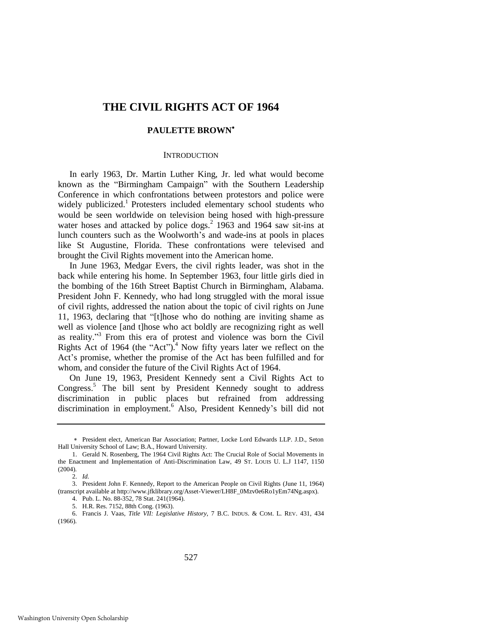# **THE CIVIL RIGHTS ACT OF 1964**

# **PAULETTE BROWN**

#### <span id="page-1-2"></span>**INTRODUCTION**

In early 1963, Dr. Martin Luther King, Jr. led what would become known as the "Birmingham Campaign" with the Southern Leadership Conference in which confrontations between protestors and police were widely publicized.<sup>1</sup> Protesters included elementary school students who would be seen worldwide on television being hosed with high-pressure water hoses and attacked by police dogs. $^{2}$  1963 and 1964 saw sit-ins at lunch counters such as the Woolworth's and wade-ins at pools in places like St Augustine, Florida. These confrontations were televised and brought the Civil Rights movement into the American home.

In June 1963, Medgar Evers, the civil rights leader, was shot in the back while entering his home. In September 1963, four little girls died in the bombing of the 16th Street Baptist Church in Birmingham, Alabama. President John F. Kennedy, who had long struggled with the moral issue of civil rights, addressed the nation about the topic of civil rights on June 11, 1963, declaring that "[t]hose who do nothing are inviting shame as well as violence [and t]hose who act boldly are recognizing right as well as reality."<sup>3</sup> From this era of protest and violence was born the Civil Rights Act of 1964 (the "Act"). $4$  Now fifty years later we reflect on the Act's promise, whether the promise of the Act has been fulfilled and for whom, and consider the future of the Civil Rights Act of 1964.

<span id="page-1-1"></span><span id="page-1-0"></span>On June 19, 1963, President Kennedy sent a Civil Rights Act to Congress.<sup>5</sup> The bill sent by President Kennedy sought to address discrimination in public places but refrained from addressing discrimination in employment.<sup>6</sup> Also, President Kennedy's bill did not

President elect, American Bar Association; Partner, Locke Lord Edwards LLP. J.D., Seton Hall University School of Law; B.A., Howard University.

<sup>1.</sup> Gerald N. Rosenberg, The 1964 Civil Rights Act: The Crucial Role of Social Movements in the Enactment and Implementation of Anti-Discrimination Law, 49 ST. LOUIS U. L.J 1147, 1150 (2004).

<sup>2.</sup> *Id.*

<sup>3.</sup> President John F. Kennedy, Report to the American People on Civil Rights (June 11, 1964) (transcript available at http://www.jfklibrary.org/Asset-Viewer/LH8F\_0Mzv0e6Ro1yEm74Ng.aspx). 4. Pub. L. No. 88-352, 78 Stat. 241(1964).

<sup>5.</sup> H.R. Res. 7152, 88th Cong. (1963).

<sup>6.</sup> Francis J. Vaas, *Title VII: Legislative History*, 7 B.C. INDUS. & COM. L. REV. 431, 434 (1966).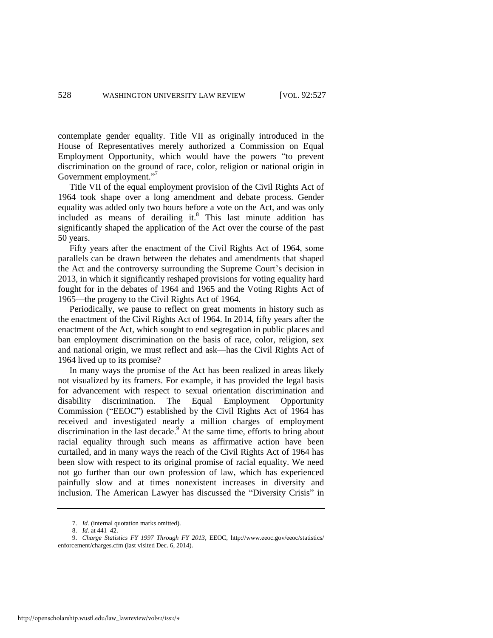contemplate gender equality. Title VII as originally introduced in the House of Representatives merely authorized a Commission on Equal Employment Opportunity, which would have the powers "to prevent discrimination on the ground of race, color, religion or national origin in Government employment."<sup>7</sup>

Title VII of the equal employment provision of the Civil Rights Act of 1964 took shape over a long amendment and debate process. Gender equality was added only two hours before a vote on the Act, and was only included as means of derailing it. $8$  This last minute addition has significantly shaped the application of the Act over the course of the past 50 years.

Fifty years after the enactment of the Civil Rights Act of 1964, some parallels can be drawn between the debates and amendments that shaped the Act and the controversy surrounding the Supreme Court's decision in 2013, in which it significantly reshaped provisions for voting equality hard fought for in the debates of 1964 and 1965 and the Voting Rights Act of 1965—the progeny to the Civil Rights Act of 1964.

Periodically, we pause to reflect on great moments in history such as the enactment of the Civil Rights Act of 1964. In 2014, fifty years after the enactment of the Act, which sought to end segregation in public places and ban employment discrimination on the basis of race, color, religion, sex and national origin, we must reflect and ask—has the Civil Rights Act of 1964 lived up to its promise?

In many ways the promise of the Act has been realized in areas likely not visualized by its framers. For example, it has provided the legal basis for advancement with respect to sexual orientation discrimination and disability discrimination. The Equal Employment Opportunity Commission ("EEOC") established by the Civil Rights Act of 1964 has received and investigated nearly a million charges of employment discrimination in the last decade.<sup>9</sup> At the same time, efforts to bring about racial equality through such means as affirmative action have been curtailed, and in many ways the reach of the Civil Rights Act of 1964 has been slow with respect to its original promise of racial equality. We need not go further than our own profession of law, which has experienced painfully slow and at times nonexistent increases in diversity and inclusion. The American Lawyer has discussed the "Diversity Crisis" in

<sup>7.</sup> *Id.* (internal quotation marks omitted).

<sup>8.</sup> *Id.* at 441–42.

<sup>9.</sup> *Charge Statistics FY 1997 Through FY 2013*, EEOC, http://www.eeoc.gov/eeoc/statistics/ enforcement/charges.cfm (last visited Dec. 6, 2014).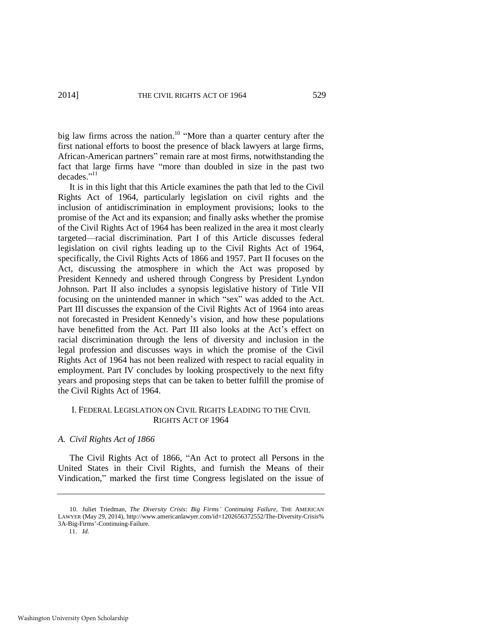<span id="page-3-0"></span>big law firms across the nation.<sup>10</sup> "More than a quarter century after the first national efforts to boost the presence of black lawyers at large firms, African-American partners" remain rare at most firms, notwithstanding the fact that large firms have "more than doubled in size in the past two decades."<sup>11</sup>

It is in this light that this Article examines the path that led to the Civil Rights Act of 1964, particularly legislation on civil rights and the inclusion of antidiscrimination in employment provisions; looks to the promise of the Act and its expansion; and finally asks whether the promise of the Civil Rights Act of 1964 has been realized in the area it most clearly targeted—racial discrimination. Part I of this Article discusses federal legislation on civil rights leading up to the Civil Rights Act of 1964, specifically, the Civil Rights Acts of 1866 and 1957. Part II focuses on the Act, discussing the atmosphere in which the Act was proposed by President Kennedy and ushered through Congress by President Lyndon Johnson. Part II also includes a synopsis legislative history of Title VII focusing on the unintended manner in which "sex" was added to the Act. Part III discusses the expansion of the Civil Rights Act of 1964 into areas not forecasted in President Kennedy's vision, and how these populations have benefitted from the Act. Part III also looks at the Act's effect on racial discrimination through the lens of diversity and inclusion in the legal profession and discusses ways in which the promise of the Civil Rights Act of 1964 has not been realized with respect to racial equality in employment. Part IV concludes by looking prospectively to the next fifty years and proposing steps that can be taken to better fulfill the promise of the Civil Rights Act of 1964.

# I. FEDERAL LEGISLATION ON CIVIL RIGHTS LEADING TO THE CIVIL RIGHTS ACT OF 1964

# *A. Civil Rights Act of 1866*

The Civil Rights Act of 1866, "An Act to protect all Persons in the United States in their Civil Rights, and furnish the Means of their Vindication," marked the first time Congress legislated on the issue of

<sup>10.</sup> Juliet Triedman, *The Diversity Crisis: Big Firms' Continuing Failure*, THE AMERICAN LAWYER (May 29, 2014), http://www.americanlawyer.com/id=1202656372552/The-Diversity-Crisis% 3A-Big-Firms'-Continuing-Failure.

<sup>11.</sup> *Id.*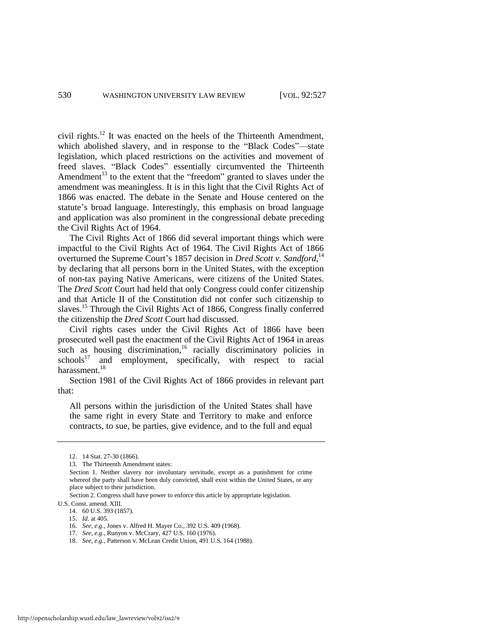civil rights.<sup>12</sup> It was enacted on the heels of the Thirteenth Amendment, which abolished slavery, and in response to the "Black Codes"—state legislation, which placed restrictions on the activities and movement of freed slaves. "Black Codes" essentially circumvented the Thirteenth Amendment<sup>13</sup> to the extent that the "freedom" granted to slaves under the amendment was meaningless. It is in this light that the Civil Rights Act of 1866 was enacted. The debate in the Senate and House centered on the statute's broad language. Interestingly, this emphasis on broad language and application was also prominent in the congressional debate preceding the Civil Rights Act of 1964.

The Civil Rights Act of 1866 did several important things which were impactful to the Civil Rights Act of 1964. The Civil Rights Act of 1866 overturned the Supreme Court's 1857 decision in *Dred Scott v. Sandford*,<sup>14</sup> by declaring that all persons born in the United States, with the exception of non-tax paying Native Americans, were citizens of the United States. The *Dred Scott* Court had held that only Congress could confer citizenship and that Article II of the Constitution did not confer such citizenship to slaves.<sup>15</sup> Through the Civil Rights Act of 1866, Congress finally conferred the citizenship the *Dred Scott* Court had discussed.

Civil rights cases under the Civil Rights Act of 1866 have been prosecuted well past the enactment of the Civil Rights Act of 1964 in areas such as housing discrimination, $16$  racially discriminatory policies in  $schools<sup>17</sup>$  and employment, specifically, with respect to racial harassment.<sup>18</sup>

Section 1981 of the Civil Rights Act of 1866 provides in relevant part that:

All persons within the jurisdiction of the United States shall have the same right in every State and Territory to make and enforce contracts, to sue, be parties, give evidence, and to the full and equal

<sup>12. 14</sup> Stat. 27-30 (1866).

<sup>13.</sup> The Thirteenth Amendment states:

Section 1. Neither slavery nor involuntary servitude, except as a punishment for crime whereof the party shall have been duly convicted, shall exist within the United States, or any place subject to their jurisdiction.

Section 2. Congress shall have power to enforce this article by appropriate legislation. U.S. Const. amend. XIII.

<sup>14. 60</sup> U.S. 393 (1857).

<sup>15.</sup> *Id.* at 405.

<sup>16.</sup> *See, e.g.*, Jones v. Alfred H. Mayer Co., 392 U.S. 409 (1968).

<sup>17.</sup> *See, e.g.*, Runyon v. McCrary, 427 U.S. 160 (1976).

<sup>18.</sup> *See, e.g.*, Patterson v. McLean Credit Union, 491 U.S. 164 (1988).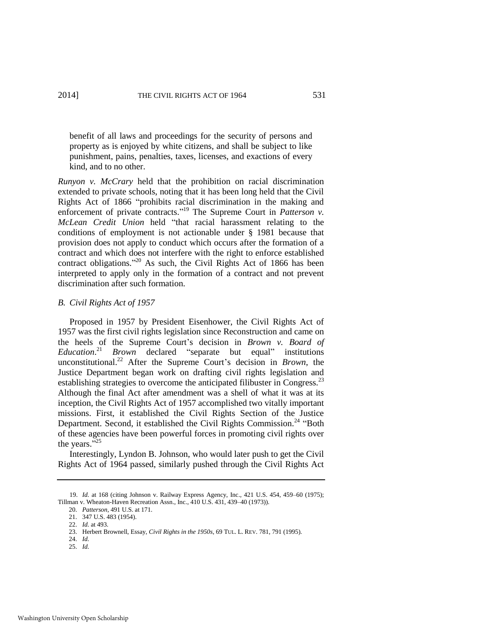benefit of all laws and proceedings for the security of persons and property as is enjoyed by white citizens, and shall be subject to like punishment, pains, penalties, taxes, licenses, and exactions of every kind, and to no other.

*Runyon v. McCrary* held that the prohibition on racial discrimination extended to private schools, noting that it has been long held that the Civil Rights Act of 1866 "prohibits racial discrimination in the making and enforcement of private contracts."<sup>19</sup> The Supreme Court in *Patterson v*. *McLean Credit Union* held "that racial harassment relating to the conditions of employment is not actionable under § 1981 because that provision does not apply to conduct which occurs after the formation of a contract and which does not interfere with the right to enforce established contract obligations."<sup>20</sup> As such, the Civil Rights Act of 1866 has been interpreted to apply only in the formation of a contract and not prevent discrimination after such formation.

#### *B. Civil Rights Act of 1957*

<span id="page-5-0"></span>Proposed in 1957 by President Eisenhower, the Civil Rights Act of 1957 was the first civil rights legislation since Reconstruction and came on the heels of the Supreme Court's decision in *Brown v. Board of Education*. <sup>21</sup> *Brown* declared "separate but equal" institutions unconstitutional.<sup>22</sup> After the Supreme Court's decision in *Brown*, the Justice Department began work on drafting civil rights legislation and establishing strategies to overcome the anticipated filibuster in Congress.<sup>23</sup> Although the final Act after amendment was a shell of what it was at its inception, the Civil Rights Act of 1957 accomplished two vitally important missions. First, it established the Civil Rights Section of the Justice Department. Second, it established the Civil Rights Commission.<sup>24</sup> "Both" of these agencies have been powerful forces in promoting civil rights over the years. $^{525}$ 

Interestingly, Lyndon B. Johnson, who would later push to get the Civil Rights Act of 1964 passed, similarly pushed through the Civil Rights Act

<sup>19.</sup> *Id.* at 168 (citing Johnson v. Railway Express Agency, Inc., 421 U.S. 454, 459–60 (1975); Tillman v. Wheaton-Haven Recreation Assn., Inc., 410 U.S. 431, 439–40 (1973)).

<sup>20.</sup> *Patterson*, 491 U.S. at 171.

<sup>21. 347</sup> U.S. 483 (1954).

<sup>22.</sup> *Id.* at 493.

<sup>23.</sup> Herbert Brownell, Essay, *Civil Rights in the 1950s*, 69 TUL. L. REV. 781, 791 (1995).

<sup>24.</sup> *Id.*

<sup>25.</sup> *Id.*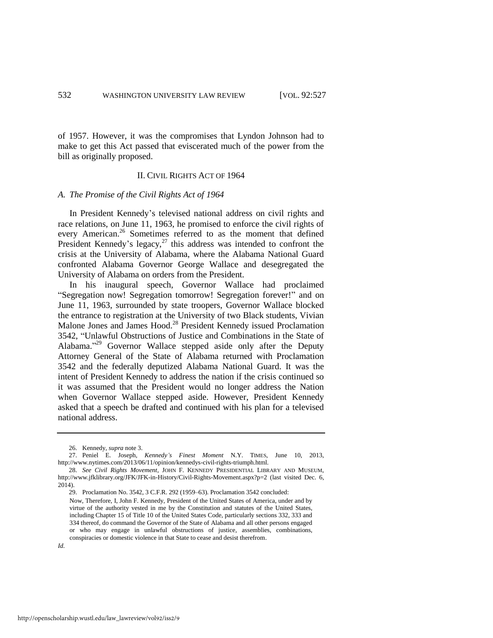of 1957. However, it was the compromises that Lyndon Johnson had to make to get this Act passed that eviscerated much of the power from the bill as originally proposed.

#### II. CIVIL RIGHTS ACT OF 1964

#### *A. The Promise of the Civil Rights Act of 1964*

In President Kennedy's televised national address on civil rights and race relations, on June 11, 1963, he promised to enforce the civil rights of every American.<sup>26</sup> Sometimes referred to as the moment that defined President Kennedy's legacy, $^{27}$  this address was intended to confront the crisis at the University of Alabama, where the Alabama National Guard confronted Alabama Governor George Wallace and desegregated the University of Alabama on orders from the President.

In his inaugural speech, Governor Wallace had proclaimed "Segregation now! Segregation tomorrow! Segregation forever!" and on June 11, 1963, surrounded by state troopers, Governor Wallace blocked the entrance to registration at the University of two Black students, Vivian Malone Jones and James Hood.<sup>28</sup> President Kennedy issued Proclamation 3542, "Unlawful Obstructions of Justice and Combinations in the State of Alabama."<sup>29</sup> Governor Wallace stepped aside only after the Deputy Attorney General of the State of Alabama returned with Proclamation 3542 and the federally deputized Alabama National Guard. It was the intent of President Kennedy to address the nation if the crisis continued so it was assumed that the President would no longer address the Nation when Governor Wallace stepped aside. However, President Kennedy asked that a speech be drafted and continued with his plan for a televised national address.

<sup>26.</sup> Kennedy, *supra* not[e 3.](#page-1-0)

<sup>27.</sup> Peniel E. Joseph, *Kennedy's Finest Moment* N.Y. TIMES, June 10, 2013, http://www.nytimes.com/2013/06/11/opinion/kennedys-civil-rights-triumph.html.

<sup>28.</sup> *See Civil Rights Movement*, JOHN F. KENNEDY PRESIDENTIAL LIBRARY AND MUSEUM, http://www.jfklibrary.org/JFK/JFK-in-History/Civil-Rights-Movement.aspx?p=2 (last visited Dec. 6, 2014).

<sup>29.</sup> Proclamation No. 3542, 3 C.F.R. 292 (1959–63). Proclamation 3542 concluded:

Now, Therefore, I, John F. Kennedy, President of the United States of America, under and by virtue of the authority vested in me by the Constitution and statutes of the United States, including Chapter 15 of Title 10 of the United States Code, particularly sections 332, 333 and 334 thereof, do command the Governor of the State of Alabama and all other persons engaged or who may engage in unlawful obstructions of justice, assemblies, combinations, conspiracies or domestic violence in that State to cease and desist therefrom.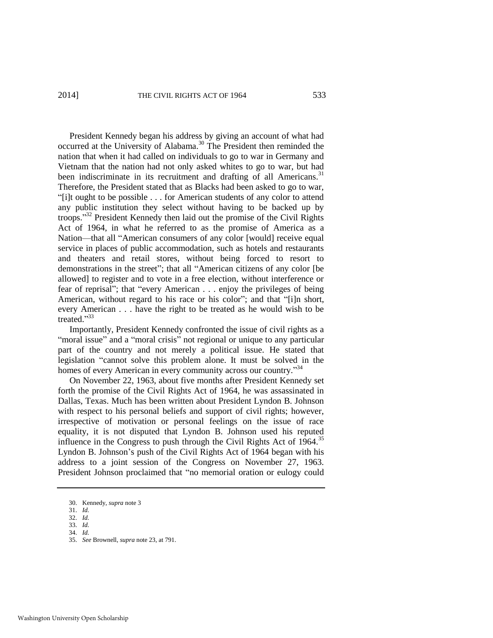President Kennedy began his address by giving an account of what had occurred at the University of Alabama.<sup>30</sup> The President then reminded the nation that when it had called on individuals to go to war in Germany and Vietnam that the nation had not only asked whites to go to war, but had been indiscriminate in its recruitment and drafting of all Americans.<sup>31</sup> Therefore, the President stated that as Blacks had been asked to go to war, "[i]t ought to be possible . . . for American students of any color to attend any public institution they select without having to be backed up by troops."<sup>32</sup> President Kennedy then laid out the promise of the Civil Rights Act of 1964, in what he referred to as the promise of America as a Nation—that all "American consumers of any color [would] receive equal service in places of public accommodation, such as hotels and restaurants and theaters and retail stores, without being forced to resort to demonstrations in the street"; that all "American citizens of any color [be allowed] to register and to vote in a free election, without interference or fear of reprisal"; that "every American . . . enjoy the privileges of being American, without regard to his race or his color"; and that "[i]n short, every American . . . have the right to be treated as he would wish to be treated." 33

Importantly, President Kennedy confronted the issue of civil rights as a "moral issue" and a "moral crisis" not regional or unique to any particular part of the country and not merely a political issue. He stated that legislation "cannot solve this problem alone. It must be solved in the homes of every American in every community across our country."<sup>34</sup>

On November 22, 1963, about five months after President Kennedy set forth the promise of the Civil Rights Act of 1964, he was assassinated in Dallas, Texas. Much has been written about President Lyndon B. Johnson with respect to his personal beliefs and support of civil rights; however, irrespective of motivation or personal feelings on the issue of race equality, it is not disputed that Lyndon B. Johnson used his reputed influence in the Congress to push through the Civil Rights Act of  $1964$ <sup>35</sup> Lyndon B. Johnson's push of the Civil Rights Act of 1964 began with his address to a joint session of the Congress on November 27, 1963. President Johnson proclaimed that "no memorial oration or eulogy could

<sup>30.</sup> Kennedy, *supra* not[e 3](#page-1-0) 

<sup>31.</sup> *Id.*

<sup>32.</sup> *Id.*  33. *Id.*

<sup>34.</sup> *Id.*

<sup>35.</sup> *See* Brownell, *supra* not[e 23,](#page-5-0) at 791.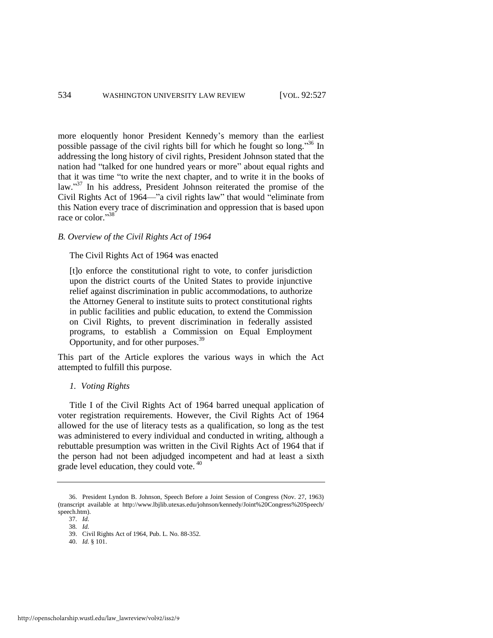more eloquently honor President Kennedy's memory than the earliest possible passage of the civil rights bill for which he fought so long."36 In addressing the long history of civil rights, President Johnson stated that the nation had "talked for one hundred years or more" about equal rights and that it was time "to write the next chapter, and to write it in the books of law."<sup>37</sup> In his address, President Johnson reiterated the promise of the Civil Rights Act of 1964—"a civil rights law" that would "eliminate from this Nation every trace of discrimination and oppression that is based upon race or color." 38

# *B. Overview of the Civil Rights Act of 1964*

# The Civil Rights Act of 1964 was enacted

[t]o enforce the constitutional right to vote, to confer jurisdiction upon the district courts of the United States to provide injunctive relief against discrimination in public accommodations, to authorize the Attorney General to institute suits to protect constitutional rights in public facilities and public education, to extend the Commission on Civil Rights, to prevent discrimination in federally assisted programs, to establish a Commission on Equal Employment Opportunity, and for other purposes.<sup>39</sup>

This part of the Article explores the various ways in which the Act attempted to fulfill this purpose.

# *1. Voting Rights*

Title I of the Civil Rights Act of 1964 barred unequal application of voter registration requirements. However, the Civil Rights Act of 1964 allowed for the use of literacy tests as a qualification, so long as the test was administered to every individual and conducted in writing, although a rebuttable presumption was written in the Civil Rights Act of 1964 that if the person had not been adjudged incompetent and had at least a sixth grade level education, they could vote. <sup>40</sup>

<sup>36.</sup> President Lyndon B. Johnson, Speech Before a Joint Session of Congress (Nov. 27, 1963) (transcript available at http://www.lbjlib.utexas.edu/johnson/kennedy/Joint%20Congress%20Speech/ speech.htm).

<sup>37.</sup> *Id.*

<sup>38</sup>*. Id.* 

<sup>39.</sup> Civil Rights Act of 1964, Pub. L. No. 88-352.

<sup>40.</sup> *Id.* § 101.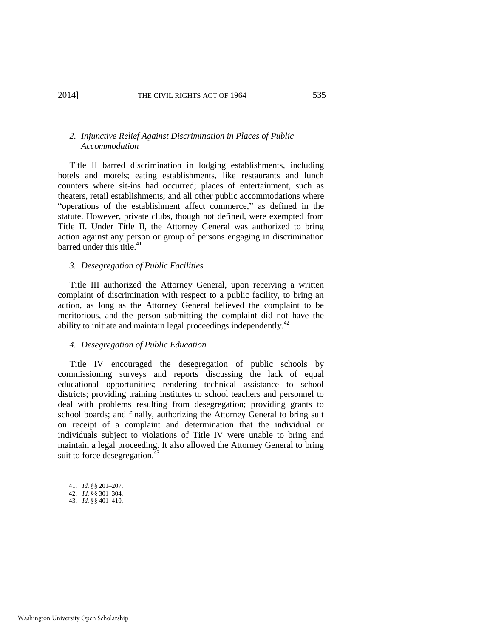# *2. Injunctive Relief Against Discrimination in Places of Public Accommodation*

Title II barred discrimination in lodging establishments, including hotels and motels; eating establishments, like restaurants and lunch counters where sit-ins had occurred; places of entertainment, such as theaters, retail establishments; and all other public accommodations where "operations of the establishment affect commerce," as defined in the statute. However, private clubs, though not defined, were exempted from Title II. Under Title II, the Attorney General was authorized to bring action against any person or group of persons engaging in discrimination barred under this title. $41$ 

# *3. Desegregation of Public Facilities*

Title III authorized the Attorney General, upon receiving a written complaint of discrimination with respect to a public facility, to bring an action, as long as the Attorney General believed the complaint to be meritorious, and the person submitting the complaint did not have the ability to initiate and maintain legal proceedings independently.<sup>42</sup>

#### *4. Desegregation of Public Education*

Title IV encouraged the desegregation of public schools by commissioning surveys and reports discussing the lack of equal educational opportunities; rendering technical assistance to school districts; providing training institutes to school teachers and personnel to deal with problems resulting from desegregation; providing grants to school boards; and finally, authorizing the Attorney General to bring suit on receipt of a complaint and determination that the individual or individuals subject to violations of Title IV were unable to bring and maintain a legal proceeding. It also allowed the Attorney General to bring suit to force desegregation.<sup>4</sup>

<sup>41.</sup> *Id.* §§ 201–207.

<sup>42.</sup> *Id.* §§ 301–304.

<sup>43.</sup> *Id.* §§ 401–410.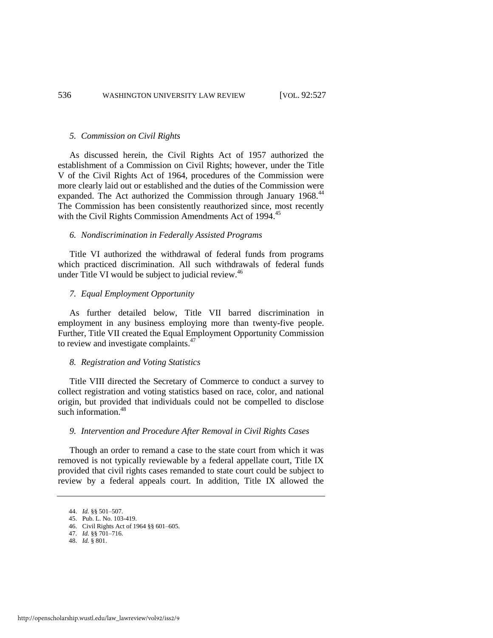#### *5. Commission on Civil Rights*

As discussed herein, the Civil Rights Act of 1957 authorized the establishment of a Commission on Civil Rights; however, under the Title V of the Civil Rights Act of 1964, procedures of the Commission were more clearly laid out or established and the duties of the Commission were expanded. The Act authorized the Commission through January 1968.<sup>44</sup> The Commission has been consistently reauthorized since, most recently with the Civil Rights Commission Amendments Act of 1994.<sup>45</sup>

#### *6. Nondiscrimination in Federally Assisted Programs*

Title VI authorized the withdrawal of federal funds from programs which practiced discrimination. All such withdrawals of federal funds under Title VI would be subject to judicial review.<sup>46</sup>

# *7. Equal Employment Opportunity*

As further detailed below, Title VII barred discrimination in employment in any business employing more than twenty-five people. Further, Title VII created the Equal Employment Opportunity Commission to review and investigate complaints.<sup>47</sup>

#### *8. Registration and Voting Statistics*

Title VIII directed the Secretary of Commerce to conduct a survey to collect registration and voting statistics based on race, color, and national origin, but provided that individuals could not be compelled to disclose such information.<sup>48</sup>

#### *9. Intervention and Procedure After Removal in Civil Rights Cases*

Though an order to remand a case to the state court from which it was removed is not typically reviewable by a federal appellate court, Title IX provided that civil rights cases remanded to state court could be subject to review by a federal appeals court. In addition, Title IX allowed the

<sup>44.</sup> *Id.* §§ 501–507.

<sup>45.</sup> Pub. L. No. 103-419.

<sup>46.</sup> Civil Rights Act of 1964 §§ 601–605.

<sup>47.</sup> *Id.* §§ 701–716.

<sup>48.</sup> *Id.* § 801.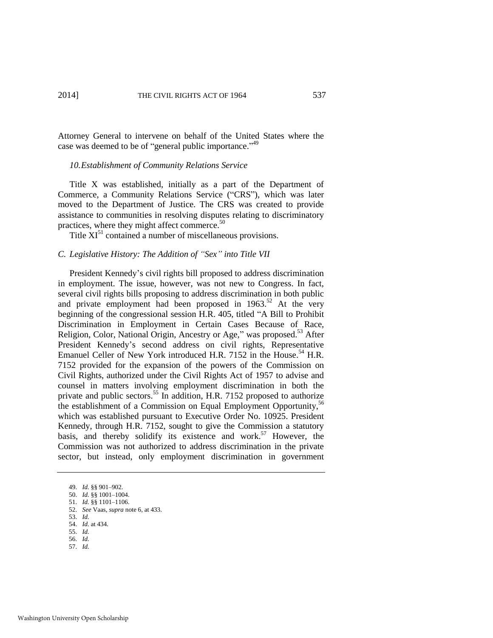Attorney General to intervene on behalf of the United States where the case was deemed to be of "general public importance."<sup>49</sup>

#### *10. Establishment of Community Relations Service*

Title X was established, initially as a part of the Department of Commerce, a Community Relations Service ("CRS"), which was later moved to the Department of Justice. The CRS was created to provide assistance to communities in resolving disputes relating to discriminatory practices, where they might affect commerce.<sup>50</sup>

Title  $XI<sup>51</sup>$  contained a number of miscellaneous provisions.

#### *C. Legislative History: The Addition of "Sex" into Title VII*

President Kennedy's civil rights bill proposed to address discrimination in employment. The issue, however, was not new to Congress. In fact, several civil rights bills proposing to address discrimination in both public and private employment had been proposed in  $1963$ <sup>52</sup> At the very beginning of the congressional session H.R. 405, titled "A Bill to Prohibit Discrimination in Employment in Certain Cases Because of Race, Religion, Color, National Origin, Ancestry or Age," was proposed.<sup>53</sup> After President Kennedy's second address on civil rights, Representative Emanuel Celler of New York introduced H.R.  $7152$  in the House.<sup>54</sup> H.R. 7152 provided for the expansion of the powers of the Commission on Civil Rights, authorized under the Civil Rights Act of 1957 to advise and counsel in matters involving employment discrimination in both the private and public sectors.<sup>55</sup> In addition, H.R. 7152 proposed to authorize the establishment of a Commission on Equal Employment Opportunity,<sup>56</sup> which was established pursuant to Executive Order No. 10925. President Kennedy, through H.R. 7152, sought to give the Commission a statutory basis, and thereby solidify its existence and work.<sup>57</sup> However, the Commission was not authorized to address discrimination in the private sector, but instead, only employment discrimination in government

- 56. *Id.*
- 57. *Id.*

<sup>49.</sup> *Id.* §§ 901–902.

<sup>50.</sup> *Id.* §§ 1001–1004.

<sup>51.</sup> *Id.* §§ 1101–1106.

<sup>52.</sup> *See* Vaas, *supra* not[e 6,](#page-1-1) at 433.

<sup>53.</sup> *Id.*

<sup>54.</sup> *Id.* at 434.

<sup>55.</sup> *Id.*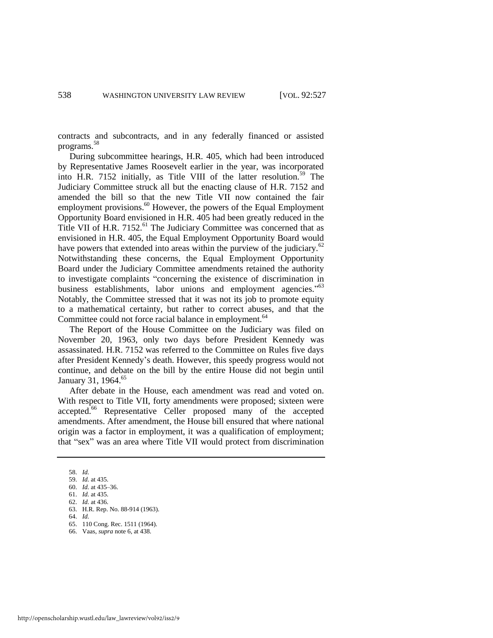contracts and subcontracts, and in any federally financed or assisted programs.<sup>58</sup>

During subcommittee hearings, H.R. 405, which had been introduced by Representative James Roosevelt earlier in the year, was incorporated into H.R. 7152 initially, as Title VIII of the latter resolution.<sup>59</sup> The Judiciary Committee struck all but the enacting clause of H.R. 7152 and amended the bill so that the new Title VII now contained the fair employment provisions.<sup>60</sup> However, the powers of the Equal Employment Opportunity Board envisioned in H.R. 405 had been greatly reduced in the Title VII of H.R. 7152.<sup>61</sup> The Judiciary Committee was concerned that as envisioned in H.R. 405, the Equal Employment Opportunity Board would have powers that extended into areas within the purview of the judiciary.<sup>62</sup> Notwithstanding these concerns, the Equal Employment Opportunity Board under the Judiciary Committee amendments retained the authority to investigate complaints "concerning the existence of discrimination in business establishments, labor unions and employment agencies."<sup>63</sup> Notably, the Committee stressed that it was not its job to promote equity to a mathematical certainty, but rather to correct abuses, and that the Committee could not force racial balance in employment.<sup>64</sup>

The Report of the House Committee on the Judiciary was filed on November 20, 1963, only two days before President Kennedy was assassinated. H.R. 7152 was referred to the Committee on Rules five days after President Kennedy's death. However, this speedy progress would not continue, and debate on the bill by the entire House did not begin until January 31, 1964.<sup>65</sup>

After debate in the House, each amendment was read and voted on. With respect to Title VII, forty amendments were proposed; sixteen were accepted.<sup>66</sup> Representative Celler proposed many of the accepted amendments. After amendment, the House bill ensured that where national origin was a factor in employment, it was a qualification of employment; that "sex" was an area where Title VII would protect from discrimination

65. 110 Cong. Rec. 1511 (1964).

<sup>58.</sup> *Id.*

<sup>59.</sup> *Id.* at 435.

<sup>60.</sup> *Id.* at 435–36.

<sup>61.</sup> *Id.* at 435.

<sup>62.</sup> *Id.* at 436.

<sup>63.</sup> H.R. Rep. No. 88-914 (1963).

<sup>64.</sup> *Id.*

<sup>66.</sup> Vaas, *supra* not[e 6,](#page-1-1) at 438.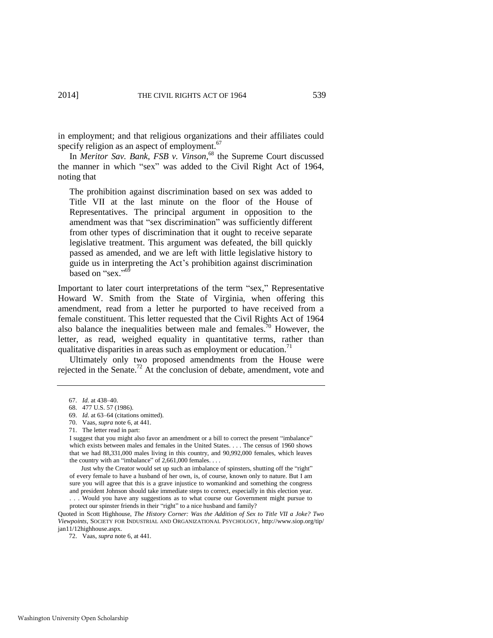in employment; and that religious organizations and their affiliates could specify religion as an aspect of employment.<sup>67</sup>

In *Meritor Sav. Bank, FSB v. Vinson*, <sup>68</sup> the Supreme Court discussed the manner in which "sex" was added to the Civil Right Act of 1964, noting that

The prohibition against discrimination based on sex was added to Title VII at the last minute on the floor of the House of Representatives. The principal argument in opposition to the amendment was that "sex discrimination" was sufficiently different from other types of discrimination that it ought to receive separate legislative treatment. This argument was defeated, the bill quickly passed as amended, and we are left with little legislative history to guide us in interpreting the Act's prohibition against discrimination based on "sex."<sup>69</sup>

Important to later court interpretations of the term "sex," Representative Howard W. Smith from the State of Virginia, when offering this amendment, read from a letter he purported to have received from a female constituent. This letter requested that the Civil Rights Act of 1964 also balance the inequalities between male and females.<sup>70</sup> However, the letter, as read, weighed equality in quantitative terms, rather than qualitative disparities in areas such as employment or education.<sup>71</sup>

Ultimately only two proposed amendments from the House were rejected in the Senate.<sup>72</sup> At the conclusion of debate, amendment, vote and

 Just why the Creator would set up such an imbalance of spinsters, shutting off the "right" of every female to have a husband of her own, is, of course, known only to nature. But I am sure you will agree that this is a grave injustice to womankind and something the congress and president Johnson should take immediate steps to correct, especially in this election year.

. . . Would you have any suggestions as to what course our Government might pursue to protect our spinster friends in their "right" to a nice husband and family?

Quoted in Scott Highhouse, *The History Corner: Was the Addition of Sex to Title VII a Joke? Two Viewpoints*, SOCIETY FOR INDUSTRIAL AND ORGANIZATIONAL PSYCHOLOGY, [http://www.siop.org/tip/](http://www.siop.org/tip/jan11/12highhouse.aspx)  [jan11/12highhouse.aspx.](http://www.siop.org/tip/jan11/12highhouse.aspx) 

72. Vaas, *supra* not[e 6,](#page-1-1) at 441.

<sup>67.</sup> *Id.* at 438–40.

<sup>68. 477</sup> U.S. 57 (1986).

<sup>69.</sup> *Id.* at 63–64 (citations omitted). 70. Vaas, *supra* not[e 6,](#page-1-1) at 441.

<sup>71.</sup> The letter read in part:

I suggest that you might also favor an amendment or a bill to correct the present "imbalance" which exists between males and females in the United States. . . . The census of 1960 shows that we had 88,331,000 males living in this country, and 90,992,000 females, which leaves the country with an "imbalance" of 2,661,000 females. . . .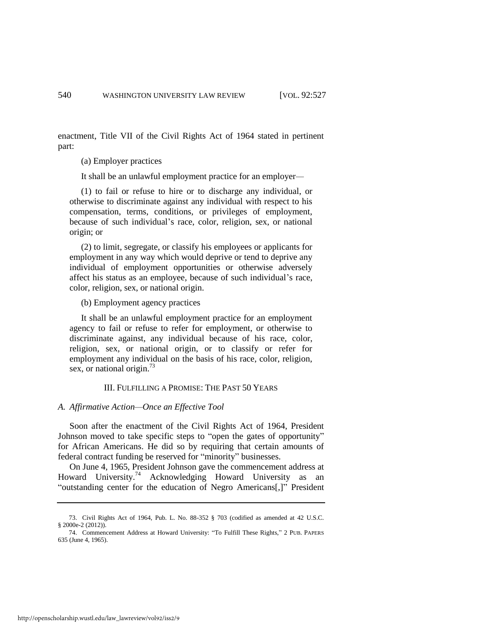enactment, Title VII of the Civil Rights Act of 1964 stated in pertinent part:

(a) Employer practices

It shall be an unlawful employment practice for an employer*—*

 (1) to fail or refuse to hire or to discharge any individual, or otherwise to discriminate against any individual with respect to his compensation, terms, conditions, or privileges of employment, because of such individual's race, color, religion, sex, or national origin; or

 (2) to limit, segregate, or classify his employees or applicants for employment in any way which would deprive or tend to deprive any individual of employment opportunities or otherwise adversely affect his status as an employee, because of such individual's race, color, religion, sex, or national origin.

# (b) Employment agency practices

 It shall be an unlawful employment practice for an employment agency to fail or refuse to refer for employment, or otherwise to discriminate against, any individual because of his race, color, religion, sex, or national origin, or to classify or refer for employment any individual on the basis of his race, color, religion, sex, or national origin. $^{73}$ 

# III. FULFILLING A PROMISE: THE PAST 50 YEARS

#### *A. Affirmative Action—Once an Effective Tool*

Soon after the enactment of the Civil Rights Act of 1964, President Johnson moved to take specific steps to "open the gates of opportunity" for African Americans. He did so by requiring that certain amounts of federal contract funding be reserved for "minority" businesses.

<span id="page-14-0"></span>On June 4, 1965, President Johnson gave the commencement address at Howard University.<sup>74</sup> Acknowledging Howard University as an "outstanding center for the education of Negro Americans[,]" President

<sup>73.</sup> Civil Rights Act of 1964, Pub. L. No. 88-352 § 703 (codified as amended at 42 U.S.C. § 2000e-2 (2012)).

<sup>74.</sup> Commencement Address at Howard University: "To Fulfill These Rights," 2 PUB. PAPERS 635 (June 4, 1965).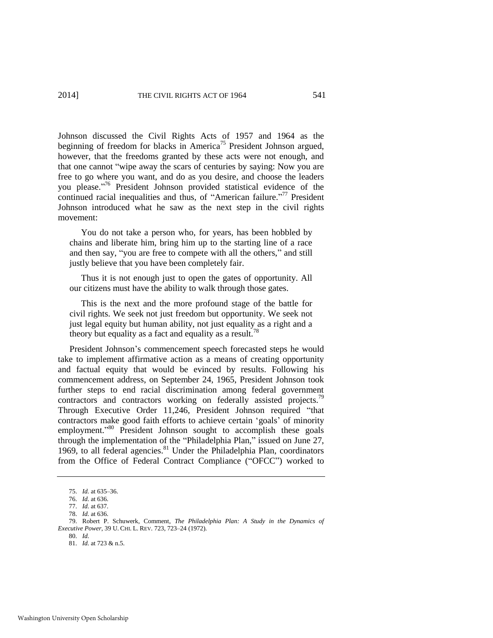Johnson discussed the Civil Rights Acts of 1957 and 1964 as the beginning of freedom for blacks in America<sup>75</sup> President Johnson argued, however, that the freedoms granted by these acts were not enough, and that one cannot "wipe away the scars of centuries by saying: Now you are free to go where you want, and do as you desire, and choose the leaders you please."<sup>76</sup> President Johnson provided statistical evidence of the continued racial inequalities and thus, of "American failure."<sup>77</sup> President Johnson introduced what he saw as the next step in the civil rights movement:

 You do not take a person who, for years, has been hobbled by chains and liberate him, bring him up to the starting line of a race and then say, "you are free to compete with all the others," and still justly believe that you have been completely fair.

 Thus it is not enough just to open the gates of opportunity. All our citizens must have the ability to walk through those gates.

 This is the next and the more profound stage of the battle for civil rights. We seek not just freedom but opportunity. We seek not just legal equity but human ability, not just equality as a right and a theory but equality as a fact and equality as a result.<sup>78</sup>

<span id="page-15-0"></span>President Johnson's commencement speech forecasted steps he would take to implement affirmative action as a means of creating opportunity and factual equity that would be evinced by results. Following his commencement address, on September 24, 1965, President Johnson took further steps to end racial discrimination among federal government contractors and contractors working on federally assisted projects.<sup>79</sup> Through Executive Order 11,246, President Johnson required "that contractors make good faith efforts to achieve certain 'goals' of minority employment."<sup>80</sup> President Johnson sought to accomplish these goals through the implementation of the "Philadelphia Plan," issued on June 27, 1969, to all federal agencies.<sup>81</sup> Under the Philadelphia Plan, coordinators from the Office of Federal Contract Compliance ("OFCC") worked to

<sup>75.</sup> *Id.* at 635–36.

<sup>76.</sup> *Id.* at 636.

<sup>77.</sup> *Id.* at 637.

<sup>78.</sup> *Id.* at 636.

<sup>79.</sup> Robert P. Schuwerk, Comment, *The Philadelphia Plan: A Study in the Dynamics of Executive Power*, 39 U. CHI. L. REV. 723, 723–24 (1972).

<sup>80.</sup> *Id.*

<sup>81.</sup> *Id.* at 723 & n.5.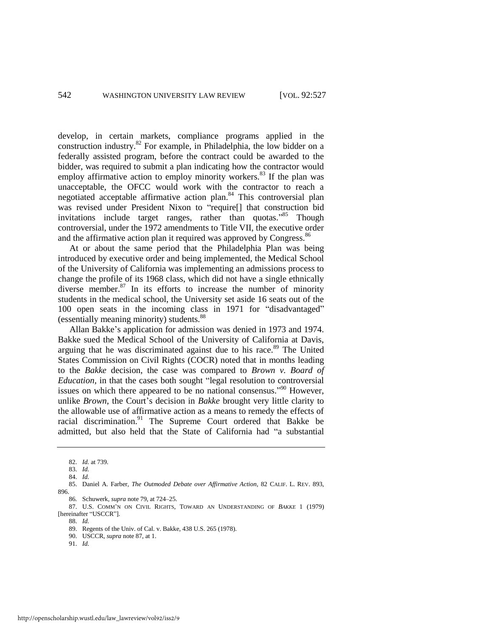develop, in certain markets, compliance programs applied in the construction industry.<sup>82</sup> For example, in Philadelphia, the low bidder on a federally assisted program, before the contract could be awarded to the bidder, was required to submit a plan indicating how the contractor would employ affirmative action to employ minority workers.<sup>83</sup> If the plan was unacceptable, the OFCC would work with the contractor to reach a negotiated acceptable affirmative action plan.<sup>84</sup> This controversial plan was revised under President Nixon to "require[] that construction bid invitations include target ranges, rather than quotas.<sup>385</sup> Though controversial, under the 1972 amendments to Title VII, the executive order and the affirmative action plan it required was approved by Congress.<sup>86</sup>

<span id="page-16-0"></span>At or about the same period that the Philadelphia Plan was being introduced by executive order and being implemented, the Medical School of the University of California was implementing an admissions process to change the profile of its 1968 class, which did not have a single ethnically diverse member.<sup>87</sup> In its efforts to increase the number of minority students in the medical school, the University set aside 16 seats out of the 100 open seats in the incoming class in 1971 for "disadvantaged" (essentially meaning minority) students.<sup>88</sup>

Allan Bakke's application for admission was denied in 1973 and 1974. Bakke sued the Medical School of the University of California at Davis, arguing that he was discriminated against due to his race.<sup>89</sup> The United States Commission on Civil Rights (COCR) noted that in months leading to the *Bakke* decision, the case was compared to *Brown v. Board of Education,* in that the cases both sought "legal resolution to controversial issues on which there appeared to be no national consensus."<sup>90</sup> However, unlike *Brown*, the Court's decision in *Bakke* brought very little clarity to the allowable use of affirmative action as a means to remedy the effects of racial discrimination.<sup>91</sup> The Supreme Court ordered that Bakke be admitted, but also held that the State of California had "a substantial

91. *Id.*

<sup>82.</sup> *Id.* at 739.

<sup>83.</sup> *Id.*

<sup>84.</sup> *Id.*

<sup>85.</sup> Daniel A. Farber, *The Outmoded Debate over Affirmative Action*, 82 CALIF. L. REV. 893, 896.

<sup>86</sup>*.* Schuwerk, *supra* not[e 79,](#page-15-0) at 724–25.

<sup>87.</sup> U.S. COMM'N ON CIVIL RIGHTS, TOWARD AN UNDERSTANDING OF *BAKKE* 1 (1979) [hereinafter "USCCR"].

<sup>88.</sup> *Id.*

<sup>89.</sup> Regents of the Univ. of Cal. v. Bakke, 438 U.S. 265 (1978).

<sup>90.</sup> USCCR, *supra* not[e 87,](#page-16-0) at 1.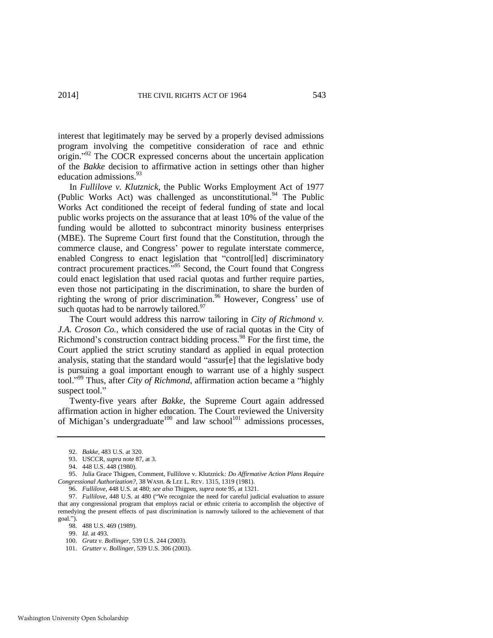interest that legitimately may be served by a properly devised admissions program involving the competitive consideration of race and ethnic origin."<sup>92</sup> The COCR expressed concerns about the uncertain application of the *Bakke* decision to affirmative action in settings other than higher education admissions.<sup>93</sup>

In *Fullilove v. Klutznick*, the Public Works Employment Act of 1977 (Public Works Act) was challenged as unconstitutional. $94$  The Public Works Act conditioned the receipt of federal funding of state and local public works projects on the assurance that at least 10% of the value of the funding would be allotted to subcontract minority business enterprises (MBE). The Supreme Court first found that the Constitution, through the commerce clause, and Congress' power to regulate interstate commerce, enabled Congress to enact legislation that "control[led] discriminatory contract procurement practices." <sup>95</sup> Second, the Court found that Congress could enact legislation that used racial quotas and further require parties, even those not participating in the discrimination, to share the burden of righting the wrong of prior discrimination.<sup>96</sup> However, Congress' use of such quotas had to be narrowly tailored. $97$ 

<span id="page-17-0"></span>The Court would address this narrow tailoring in *City of Richmond v. J.A. Croson Co.*, which considered the use of racial quotas in the City of Richmond's construction contract bidding process.<sup>98</sup> For the first time, the Court applied the strict scrutiny standard as applied in equal protection analysis, stating that the standard would "assur[e] that the legislative body is pursuing a goal important enough to warrant use of a highly suspect tool." <sup>99</sup> Thus, after *City of Richmond*, affirmation action became a "highly suspect tool."

Twenty-five years after *Bakke*, the Supreme Court again addressed affirmation action in higher education. The Court reviewed the University of Michigan's undergraduate<sup>100</sup> and law school<sup>101</sup> admissions processes,

<sup>92.</sup> *Bakke*, 483 U.S. at 320.

<sup>93.</sup> USCCR, *supra* not[e 87,](#page-16-0) at 3.

<sup>94. 448</sup> U.S. 448 (1980).

<sup>95.</sup> Julia Grace Thigpen, Comment, Fullilove v. Klutznick*: Do Affirmative Action Plans Require Congressional Authorization?*, 38 WASH. & LEE L. REV. 1315, 1319 (1981).

<sup>96.</sup> *Fullilove*, 448 U.S. at 480; *see also* Thigpen, *supra* not[e 95,](#page-17-0) at 1321.

<sup>97.</sup> *Fullilove*, 448 U.S. at 480 ("We recognize the need for careful judicial evaluation to assure that any congressional program that employs racial or ethnic criteria to accomplish the objective of remedying the present effects of past discrimination is narrowly tailored to the achievement of that goal.").

<sup>98. 488</sup> U.S. 469 (1989).

<sup>99.</sup> *Id.* at 493.

<sup>100.</sup> *Gratz v. Bollinger*, 539 U.S. 244 (2003).

<sup>101.</sup> *Grutter v. Bollinger*, 539 U.S. 306 (2003).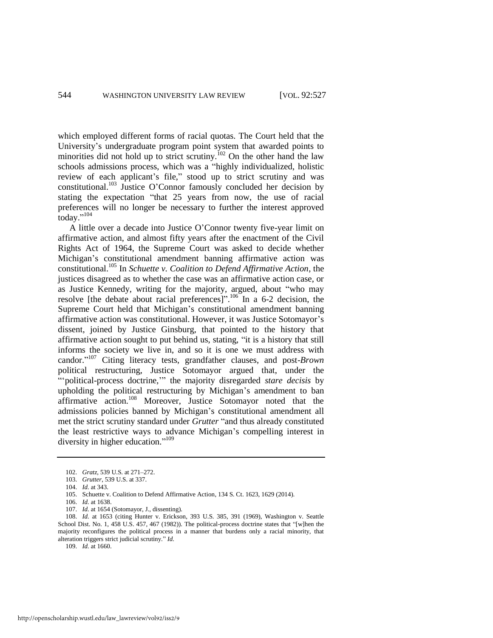which employed different forms of racial quotas. The Court held that the University's undergraduate program point system that awarded points to minorities did not hold up to strict scrutiny.<sup>102</sup> On the other hand the law schools admissions process, which was a "highly individualized, holistic review of each applicant's file," stood up to strict scrutiny and was constitutional.<sup>103</sup> Justice O'Connor famously concluded her decision by stating the expectation "that 25 years from now, the use of racial preferences will no longer be necessary to further the interest approved today." 104

A little over a decade into Justice O'Connor twenty five-year limit on affirmative action, and almost fifty years after the enactment of the Civil Rights Act of 1964, the Supreme Court was asked to decide whether Michigan's constitutional amendment banning affirmative action was constitutional.<sup>105</sup> In *Schuette v. Coalition to Defend Affirmative Action*, the justices disagreed as to whether the case was an affirmative action case, or as Justice Kennedy, writing for the majority, argued, about "who may resolve [the debate about racial preferences]".<sup>106</sup> In a 6-2 decision, the Supreme Court held that Michigan's constitutional amendment banning affirmative action was constitutional. However, it was Justice Sotomayor's dissent, joined by Justice Ginsburg, that pointed to the history that affirmative action sought to put behind us, stating, "it is a history that still informs the society we live in, and so it is one we must address with candor." <sup>107</sup> Citing literacy tests, grandfather clauses, and post-*Brown* political restructuring, Justice Sotomayor argued that, under the "'political-process doctrine,'" the majority disregarded *stare decisis* by upholding the political restructuring by Michigan's amendment to ban affirmative action.<sup>108</sup> Moreover, Justice Sotomayor noted that the admissions policies banned by Michigan's constitutional amendment all met the strict scrutiny standard under *Grutter* "and thus already constituted the least restrictive ways to advance Michigan's compelling interest in diversity in higher education."<sup>109</sup>

- 106. *Id.* at 1638.
- 107. *Id.* at 1654 (Sotomayor, J., dissenting).

108. *Id.* at 1653 (citing Hunter v. Erickson, 393 U.S. 385, 391 (1969), Washington v. Seattle School Dist. No. 1, 458 U.S. 457, 467 (1982)). The political-process doctrine states that "[w]hen the majority reconfigures the political process in a manner that burdens only a racial minority, that alteration triggers strict judicial scrutiny." *Id.*

109. *Id.* at 1660.

<sup>102.</sup> *Gratz*, 539 U.S. at 271–272.

<sup>103.</sup> *Grutter*, 539 U.S. at 337.

<sup>104.</sup> *Id.* at 343.

<sup>105.</sup> Schuette v. Coalition to Defend Affirmative Action, 134 S. Ct. 1623, 1629 (2014).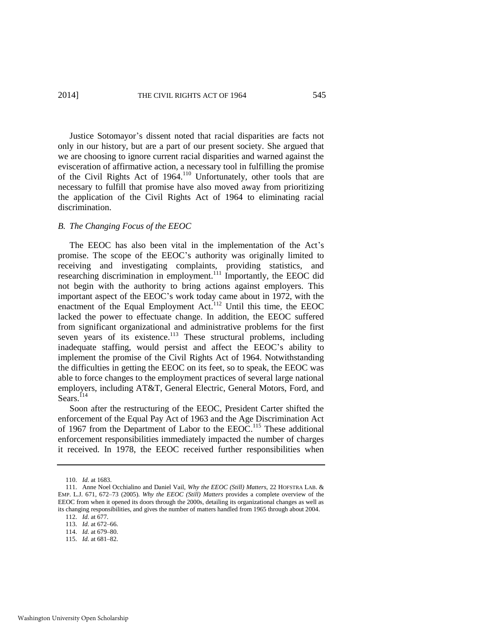Justice Sotomayor's dissent noted that racial disparities are facts not only in our history, but are a part of our present society. She argued that we are choosing to ignore current racial disparities and warned against the evisceration of affirmative action, a necessary tool in fulfilling the promise of the Civil Rights Act of 1964.<sup>110</sup> Unfortunately, other tools that are necessary to fulfill that promise have also moved away from prioritizing the application of the Civil Rights Act of 1964 to eliminating racial discrimination.

# *B. The Changing Focus of the EEOC*

The EEOC has also been vital in the implementation of the Act's promise. The scope of the EEOC's authority was originally limited to receiving and investigating complaints, providing statistics, and researching discrimination in employment.<sup>111</sup> Importantly, the EEOC did not begin with the authority to bring actions against employers. This important aspect of the EEOC's work today came about in 1972, with the enactment of the Equal Employment Act.<sup>112</sup> Until this time, the EEOC lacked the power to effectuate change. In addition, the EEOC suffered from significant organizational and administrative problems for the first seven years of its existence.<sup>113</sup> These structural problems, including inadequate staffing, would persist and affect the EEOC's ability to implement the promise of the Civil Rights Act of 1964. Notwithstanding the difficulties in getting the EEOC on its feet, so to speak, the EEOC was able to force changes to the employment practices of several large national employers, including AT&T, General Electric, General Motors, Ford, and  $Sears$ <sup> $114$ </sup>

Soon after the restructuring of the EEOC, President Carter shifted the enforcement of the Equal Pay Act of 1963 and the Age Discrimination Act of 1967 from the Department of Labor to the EEOC.<sup>115</sup> These additional enforcement responsibilities immediately impacted the number of charges it received. In 1978, the EEOC received further responsibilities when

<sup>110.</sup> *Id.* at 1683.

<sup>111.</sup> Anne Noel Occhialino and Daniel Vail, *Why the EEOC (Still) Matters*, 22 HOFSTRA LAB. & EMP. L.J. 671, 672–73 (2005). *Why the EEOC (Still) Matters* provides a complete overview of the EEOC from when it opened its doors through the 2000s, detailing its organizational changes as well as its changing responsibilities, and gives the number of matters handled from 1965 through about 2004.

<sup>112.</sup> *Id.* at 677.

<sup>113.</sup> *Id.* at 672–66.

<sup>114.</sup> *Id.* at 679–80.

<sup>115.</sup> *Id.* at 681–82.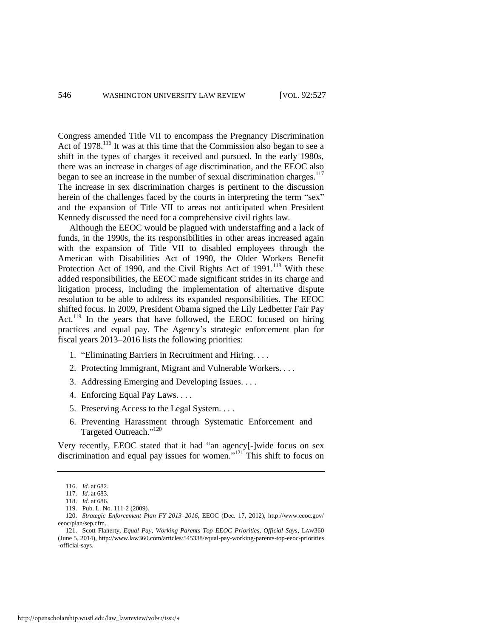Congress amended Title VII to encompass the Pregnancy Discrimination Act of 1978.<sup>116</sup> It was at this time that the Commission also began to see a shift in the types of charges it received and pursued. In the early 1980s, there was an increase in charges of age discrimination, and the EEOC also began to see an increase in the number of sexual discrimination charges.<sup>117</sup> The increase in sex discrimination charges is pertinent to the discussion herein of the challenges faced by the courts in interpreting the term "sex" and the expansion of Title VII to areas not anticipated when President Kennedy discussed the need for a comprehensive civil rights law.

Although the EEOC would be plagued with understaffing and a lack of funds, in the 1990s, the its responsibilities in other areas increased again with the expansion of Title VII to disabled employees through the American with Disabilities Act of 1990, the Older Workers Benefit Protection Act of 1990, and the Civil Rights Act of 1991.<sup>118</sup> With these added responsibilities, the EEOC made significant strides in its charge and litigation process, including the implementation of alternative dispute resolution to be able to address its expanded responsibilities. The EEOC shifted focus. In 2009, President Obama signed the Lily Ledbetter Fair Pay Act.<sup>119</sup> In the years that have followed, the EEOC focused on hiring practices and equal pay. The Agency's strategic enforcement plan for fiscal years 2013–2016 lists the following priorities:

- 1. "Eliminating Barriers in Recruitment and Hiring. . . .
- 2. Protecting Immigrant, Migrant and Vulnerable Workers. . . .
- 3. Addressing Emerging and Developing Issues. . . .
- 4. Enforcing Equal Pay Laws. . . .
- 5. Preserving Access to the Legal System. . . .
- 6. Preventing Harassment through Systematic Enforcement and Targeted Outreach."<sup>120</sup>

Very recently, EEOC stated that it had "an agency[-]wide focus on sex discrimination and equal pay issues for women."<sup>121</sup> This shift to focus on

<sup>116.</sup> *Id.* at 682.

<sup>117.</sup> *Id.* at 683.

<sup>118.</sup> *Id.* at 686.

<sup>119.</sup> Pub. L. No. 111-2 (2009).

<sup>120.</sup> *Strategic Enforcement Plan FY 2013–2016*, EEOC (Dec. 17, 2012), http://www.eeoc.gov/ eeoc/plan/sep.cfm.

<sup>121.</sup> Scott Flaherty, *Equal Pay, Working Parents Top EEOC Priorities, Official Says*, LAW360 (June 5, 2014), http://www.law360.com/articles/545338/equal-pay-working-parents-top-eeoc-priorities -official-says.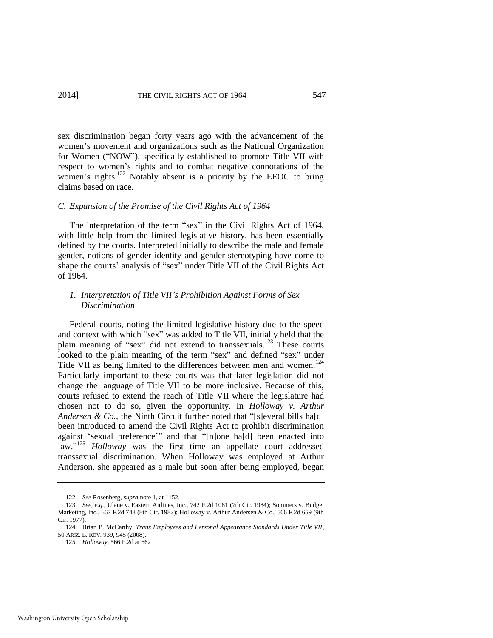sex discrimination began forty years ago with the advancement of the women's movement and organizations such as the National Organization for Women ("NOW"), specifically established to promote Title VII with respect to women's rights and to combat negative connotations of the women's rights.<sup>122</sup> Notably absent is a priority by the EEOC to bring claims based on race.

# *C. Expansion of the Promise of the Civil Rights Act of 1964*

The interpretation of the term "sex" in the Civil Rights Act of 1964, with little help from the limited legislative history, has been essentially defined by the courts. Interpreted initially to describe the male and female gender, notions of gender identity and gender stereotyping have come to shape the courts' analysis of "sex" under Title VII of the Civil Rights Act of 1964.

# *1. Interpretation of Title VII's Prohibition Against Forms of Sex Discrimination*

Federal courts, noting the limited legislative history due to the speed and context with which "sex" was added to Title VII, initially held that the plain meaning of "sex" did not extend to transsexuals.<sup>123</sup> These courts looked to the plain meaning of the term "sex" and defined "sex" under Title VII as being limited to the differences between men and women.<sup>124</sup> Particularly important to these courts was that later legislation did not change the language of Title VII to be more inclusive. Because of this, courts refused to extend the reach of Title VII where the legislature had chosen not to do so, given the opportunity. In *Holloway v. Arthur Andersen & Co.*, the Ninth Circuit further noted that "[s]everal bills ha[d] been introduced to amend the Civil Rights Act to prohibit discrimination against 'sexual preference'" and that "[n]one ha[d] been enacted into law."<sup>125</sup> *Holloway* was the first time an appellate court addressed transsexual discrimination. When Holloway was employed at Arthur Anderson, she appeared as a male but soon after being employed, began

<sup>122.</sup> *See* Rosenberg, *supra* not[e 1,](#page-1-2) at 1152.

<sup>123.</sup> *See, e.g.*, Ulane v. Eastern Airlines, Inc., 742 F.2d 1081 (7th Cir. 1984); Sommers v. Budget Marketing, Inc., 667 F.2d 748 (8th Cir. 1982); Holloway v. Arthur Andersen & Co., 566 F.2d 659 (9th Cir. 1977).

<sup>124.</sup> Brian P. McCarthy, *Trans Employees and Personal Appearance Standards Under Title VII*, 50 ARIZ. L. REV. 939, 945 (2008).

<sup>125.</sup> *Holloway*, 566 F.2d at 662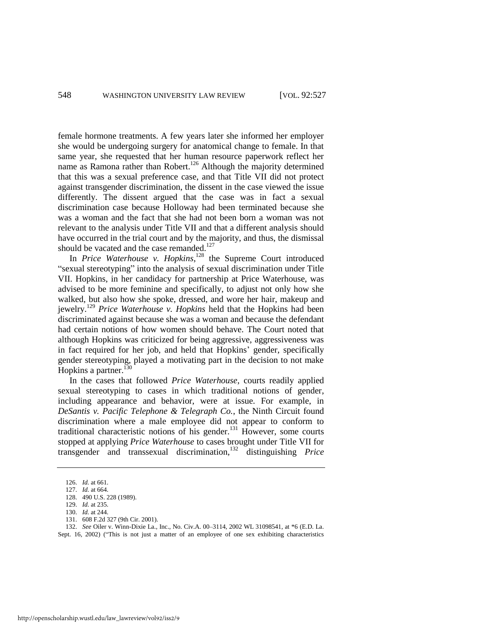female hormone treatments. A few years later she informed her employer she would be undergoing surgery for anatomical change to female. In that same year, she requested that her human resource paperwork reflect her name as Ramona rather than Robert.<sup>126</sup> Although the majority determined that this was a sexual preference case, and that Title VII did not protect against transgender discrimination, the dissent in the case viewed the issue differently. The dissent argued that the case was in fact a sexual discrimination case because Holloway had been terminated because she was a woman and the fact that she had not been born a woman was not relevant to the analysis under Title VII and that a different analysis should have occurred in the trial court and by the majority, and thus, the dismissal should be vacated and the case remanded. $127$ 

In *Price Waterhouse v. Hopkins*,<sup>128</sup> the Supreme Court introduced "sexual stereotyping" into the analysis of sexual discrimination under Title VII. Hopkins, in her candidacy for partnership at Price Waterhouse, was advised to be more feminine and specifically, to adjust not only how she walked, but also how she spoke, dressed, and wore her hair, makeup and jewelry.<sup>129</sup> *Price Waterhouse v. Hopkins* held that the Hopkins had been discriminated against because she was a woman and because the defendant had certain notions of how women should behave. The Court noted that although Hopkins was criticized for being aggressive, aggressiveness was in fact required for her job, and held that Hopkins' gender, specifically gender stereotyping, played a motivating part in the decision to not make Hopkins a partner.<sup>130</sup>

In the cases that followed *Price Waterhouse*, courts readily applied sexual stereotyping to cases in which traditional notions of gender, including appearance and behavior, were at issue. For example, in *DeSantis v. Pacific Telephone & Telegraph Co.*, the Ninth Circuit found discrimination where a male employee did not appear to conform to traditional characteristic notions of his gender.<sup>131</sup> However, some courts stopped at applying *Price Waterhouse* to cases brought under Title VII for transgender and transsexual discrimination,<sup>132</sup> distinguishing *Price* 

- 131. 608 F.2d 327 (9th Cir. 2001).
- 

132. *See* Oiler v. Winn-Dixie La., Inc., No. Civ.A. 00–3114, 2002 WL 31098541, at \*6 (E.D. La. Sept. 16, 2002) ("This is not just a matter of an employee of one sex exhibiting characteristics

<sup>126.</sup> *Id.* at 661.

<sup>127.</sup> *Id.* at 664.

<sup>128. 490</sup> U.S. 228 (1989). 129. *Id.* at 235.

<sup>130.</sup> *Id.* at 244.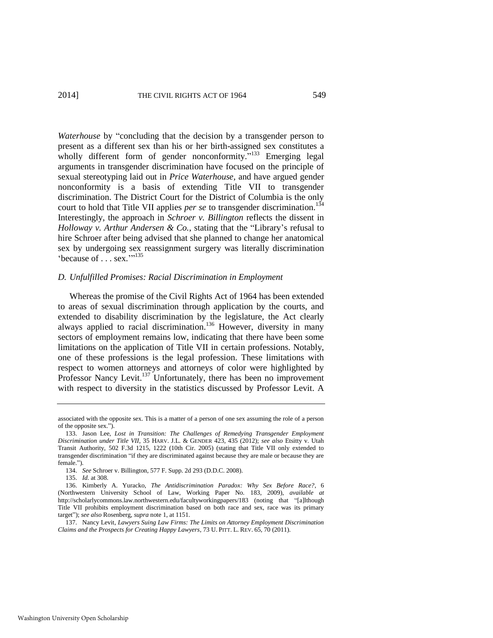*Waterhouse* by "concluding that the decision by a transgender person to present as a different sex than his or her birth-assigned sex constitutes a wholly different form of gender nonconformity."<sup>133</sup> Emerging legal arguments in transgender discrimination have focused on the principle of sexual stereotyping laid out in *Price Waterhouse,* and have argued gender nonconformity is a basis of extending Title VII to transgender discrimination. The District Court for the District of Columbia is the only court to hold that Title VII applies *per se* to transgender discrimination.<sup>134</sup> Interestingly, the approach in *Schroer v. Billington* reflects the dissent in *Holloway v. Arthur Andersen & Co.*, stating that the "Library's refusal to hire Schroer after being advised that she planned to change her anatomical sex by undergoing sex reassignment surgery was literally discrimination 'because of . . . sex.'"<sup>135</sup>

#### *D. Unfulfilled Promises: Racial Discrimination in Employment*

Whereas the promise of the Civil Rights Act of 1964 has been extended to areas of sexual discrimination through application by the courts, and extended to disability discrimination by the legislature, the Act clearly always applied to racial discrimination.<sup>136</sup> However, diversity in many sectors of employment remains low, indicating that there have been some limitations on the application of Title VII in certain professions. Notably, one of these professions is the legal profession. These limitations with respect to women attorneys and attorneys of color were highlighted by Professor Nancy Levit.<sup>137</sup> Unfortunately, there has been no improvement with respect to diversity in the statistics discussed by Professor Levit. A

<span id="page-23-0"></span>associated with the opposite sex. This is a matter of a person of one sex assuming the role of a person of the opposite sex.").

<sup>133.</sup> Jason Lee, *Lost in Transition: The Challenges of Remedying Transgender Employment Discrimination under Title VII*, 35 HARV. J.L. & GENDER 423, 435 (2012); *see also* Etsitty v. Utah Transit Authority, 502 F.3d 1215, 1222 (10th Cir. 2005) (stating that Title VII only extended to transgender discrimination "if they are discriminated against because they are male or because they are female.").

<sup>134.</sup> *See* Schroer v. Billington, 577 F. Supp. 2d 293 (D.D.C. 2008).

<sup>135.</sup> *Id.* at 308.

<sup>136.</sup> Kimberly A. Yuracko, *The Antidiscrimination Paradox: Why Sex Before Race?*, 6 (Northwestern University School of Law, Working Paper No. 183, 2009), *available at* http://scholarlycommons.law.northwestern.edu/facultyworkingpapers/183 (noting that "[a]lthough Title VII prohibits employment discrimination based on both race and sex, race was its primary target"); *see also* Rosenberg, *supra* not[e 1,](#page-1-2) at 1151.

<sup>137.</sup> Nancy Levit, *Lawyers Suing Law Firms: The Limits on Attorney Employment Discrimination Claims and the Prospects for Creating Happy Lawyers*, 73 U. PITT. L. REV. 65, 70 (2011).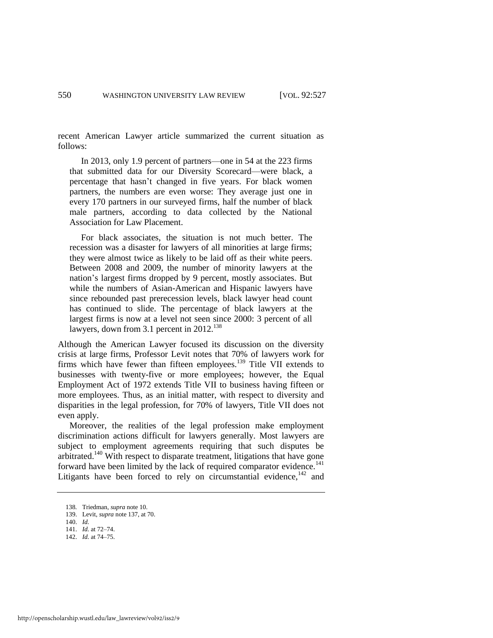recent American Lawyer article summarized the current situation as follows:

 In 2013, only 1.9 percent of partners—one in 54 at the 223 firms that submitted data for our Diversity Scorecard—were black, a percentage that hasn't changed in five years. For black women partners, the numbers are even worse: They average just one in every 170 partners in our surveyed firms, half the number of black male partners, according to data collected by the National Association for Law Placement.

 For black associates, the situation is not much better. The recession was a disaster for lawyers of all minorities at large firms; they were almost twice as likely to be laid off as their white peers. Between 2008 and 2009, the number of minority lawyers at the nation's largest firms dropped by 9 percent, mostly associates. But while the numbers of Asian-American and Hispanic lawyers have since rebounded past prerecession levels, black lawyer head count has continued to slide. The percentage of black lawyers at the largest firms is now at a level not seen since 2000: 3 percent of all lawyers, down from 3.1 percent in  $2012$ <sup>138</sup>

Although the American Lawyer focused its discussion on the diversity crisis at large firms, Professor Levit notes that 70% of lawyers work for firms which have fewer than fifteen employees.<sup>139</sup> Title VII extends to businesses with twenty-five or more employees; however, the Equal Employment Act of 1972 extends Title VII to business having fifteen or more employees. Thus, as an initial matter, with respect to diversity and disparities in the legal profession, for 70% of lawyers, Title VII does not even apply.

Moreover, the realities of the legal profession make employment discrimination actions difficult for lawyers generally. Most lawyers are subject to employment agreements requiring that such disputes be arbitrated.<sup>140</sup> With respect to disparate treatment, litigations that have gone forward have been limited by the lack of required comparator evidence.<sup>141</sup> Litigants have been forced to rely on circumstantial evidence, $142$  and

<sup>138</sup>*.* Triedman, *supra* not[e 10.](#page-3-0) 

<sup>139.</sup> Levit, *supra* not[e 137,](#page-23-0) at 70.

<sup>140.</sup> *Id.*

<sup>141.</sup> *Id.* at 72–74. 142. *Id.* at 74–75.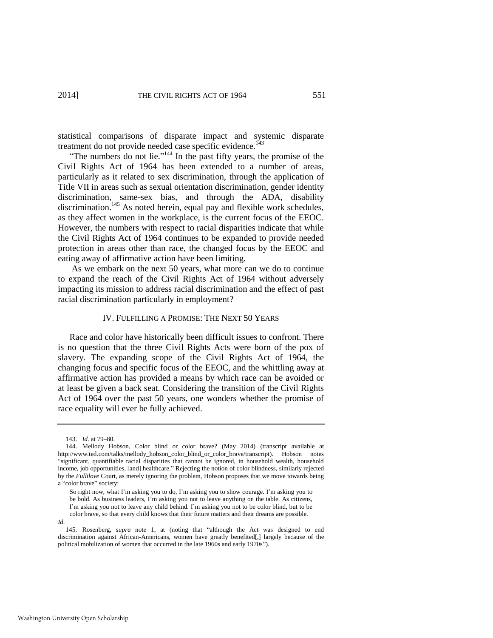statistical comparisons of disparate impact and systemic disparate treatment do not provide needed case specific evidence.<sup>143</sup>

"The numbers do not lie."<sup>144</sup> In the past fifty years, the promise of the Civil Rights Act of 1964 has been extended to a number of areas, particularly as it related to sex discrimination, through the application of Title VII in areas such as sexual orientation discrimination, gender identity discrimination, same-sex bias, and through the ADA, disability discrimination.<sup>145</sup> As noted herein, equal pay and flexible work schedules, as they affect women in the workplace, is the current focus of the EEOC. However, the numbers with respect to racial disparities indicate that while the Civil Rights Act of 1964 continues to be expanded to provide needed protection in areas other than race, the changed focus by the EEOC and eating away of affirmative action have been limiting.

As we embark on the next 50 years, what more can we do to continue to expand the reach of the Civil Rights Act of 1964 without adversely impacting its mission to address racial discrimination and the effect of past racial discrimination particularly in employment?

#### IV. FULFILLING A PROMISE: THE NEXT 50 YEARS

Race and color have historically been difficult issues to confront. There is no question that the three Civil Rights Acts were born of the pox of slavery. The expanding scope of the Civil Rights Act of 1964, the changing focus and specific focus of the EEOC, and the whittling away at affirmative action has provided a means by which race can be avoided or at least be given a back seat. Considering the transition of the Civil Rights Act of 1964 over the past 50 years, one wonders whether the promise of race equality will ever be fully achieved.

*Id.* 

<sup>143.</sup> *Id.* at 79–80.

<sup>144.</sup> Mellody Hobson, Color blind or color brave? (May 2014) (transcript available at http://www.ted.com/talks/mellody\_hobson\_color\_blind\_or\_color\_brave/transcript). Hobson notes "significant, quantifiable racial disparities that cannot be ignored, in household wealth, household income, job opportunities, [and] healthcare." Rejecting the notion of color blindness, similarly rejected by the *Fullilove* Court, as merely ignoring the problem, Hobson proposes that we move towards being a "color brave" society:

So right now, what I'm asking you to do, I'm asking you to show courage. I'm asking you to be bold. As business leaders, I'm asking you not to leave anything on the table. As citizens, I'm asking you not to leave any child behind. I'm asking you not to be color blind, but to be color brave, so that every child knows that their future matters and their dreams are possible.

<sup>145.</sup> Rosenberg, *supra* note [1,](#page-1-2) at (noting that "although the Act was designed to end discrimination against African-Americans, women have greatly benefited[,] largely because of the political mobilization of women that occurred in the late 1960s and early 1970s").